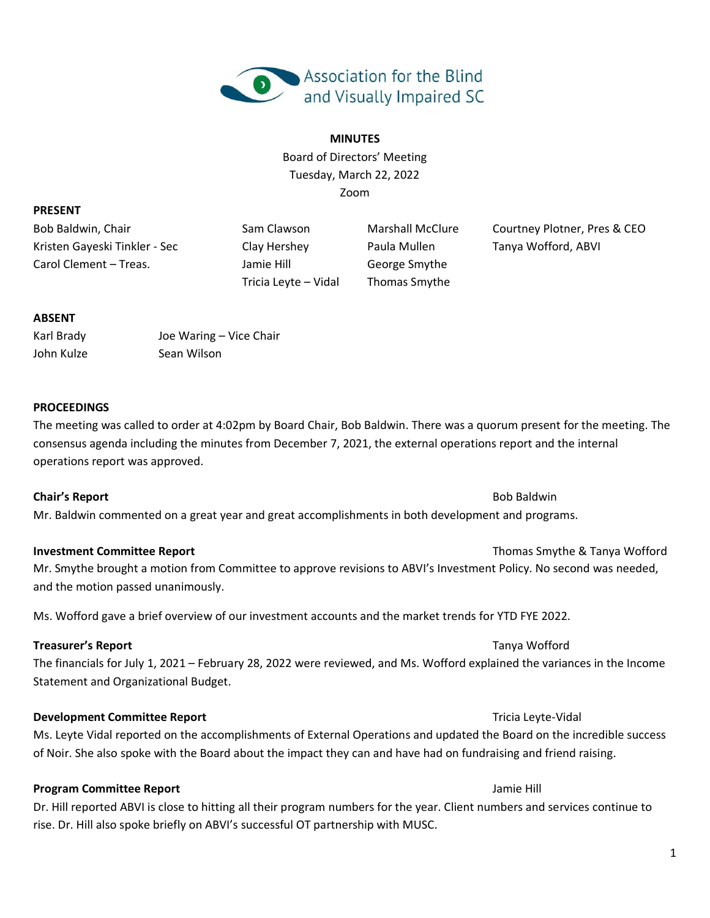

## **MINUTES**

Board of Directors' Meeting Tuesday, March 22, 2022 Zoom

**PRESENT**

Kristen Gayeski Tinkler - Sec Clay Hershey Paula Mullen Tanya Wofford, ABVI Carol Clement – Treas. Jamie Hill George Smythe

Tricia Leyte – Vidal Thomas Smythe

Bob Baldwin, Chair Thair Sam Clawson Marshall McClure Courtney Plotner, Pres & CEO

## **ABSENT**

Karl Brady Joe Waring – Vice Chair John Kulze Sean Wilson

## **PROCEEDINGS**

The meeting was called to order at 4:02pm by Board Chair, Bob Baldwin. There was a quorum present for the meeting. The consensus agenda including the minutes from December 7, 2021, the external operations report and the internal operations report was approved.

**Chair's Report** Bob Baldwin Mr. Baldwin commented on a great year and great accomplishments in both development and programs.

## **Investment Committee Report Thomas Smythe & Tanya Wofford Investment Committee Report**

Mr. Smythe brought a motion from Committee to approve revisions to ABVI's Investment Policy. No second was needed, and the motion passed unanimously.

Ms. Wofford gave a brief overview of our investment accounts and the market trends for YTD FYE 2022.

# **Treasurer's Report** Tanya Wofford

The financials for July 1, 2021 – February 28, 2022 were reviewed, and Ms. Wofford explained the variances in the Income Statement and Organizational Budget.

## **Development Committee Report** Tricia Leyte-Vidal

# Ms. Leyte Vidal reported on the accomplishments of External Operations and updated the Board on the incredible success of Noir. She also spoke with the Board about the impact they can and have had on fundraising and friend raising.

# **Program Committee Report Committee Report Jamie Hill**

Dr. Hill reported ABVI is close to hitting all their program numbers for the year. Client numbers and services continue to rise. Dr. Hill also spoke briefly on ABVI's successful OT partnership with MUSC.

1